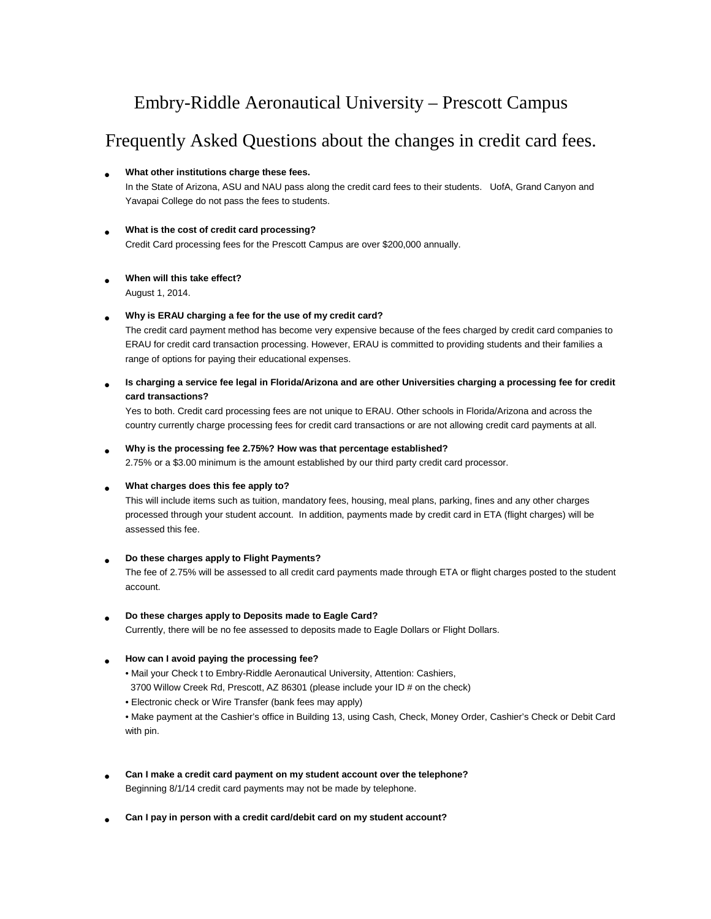## Embry-Riddle Aeronautical University – Prescott Campus

## Frequently Asked Questions about the changes in credit card fees.

## • **What other institutions charge these fees.**

In the State of Arizona, ASU and NAU pass along the credit card fees to their students. UofA, Grand Canyon and Yavapai College do not pass the fees to students.

## • **What is the cost of credit card processing?** Credit Card processing fees for the Prescott Campus are over \$200,000 annually.

## • **When will this take effect?** August 1, 2014.

## • **Why is ERAU charging a fee for the use of my credit card?**

The credit card payment method has become very expensive because of the fees charged by credit card companies to ERAU for credit card transaction processing. However, ERAU is committed to providing students and their families a range of options for paying their educational expenses.

• **Is charging a service fee legal in Florida/Arizona and are other Universities charging a processing fee for credit card transactions?**

Yes to both. Credit card processing fees are not unique to ERAU. Other schools in Florida/Arizona and across the country currently charge processing fees for credit card transactions or are not allowing credit card payments at all.

## • **Why is the processing fee 2.75%? How was that percentage established?**

2.75% or a \$3.00 minimum is the amount established by our third party credit card processor.

## • **What charges does this fee apply to?**

This will include items such as tuition, mandatory fees, housing, meal plans, parking, fines and any other charges processed through your student account. In addition, payments made by credit card in ETA (flight charges) will be assessed this fee.

## • **Do these charges apply to Flight Payments?**

The fee of 2.75% will be assessed to all credit card payments made through ETA or flight charges posted to the student account.

## • **Do these charges apply to Deposits made to Eagle Card?**

Currently, there will be no fee assessed to deposits made to Eagle Dollars or Flight Dollars.

## • **How can I avoid paying the processing fee?**

- Mail your Check t to Embry-Riddle Aeronautical University, Attention: Cashiers,
- 3700 Willow Creek Rd, Prescott, AZ 86301 (please include your ID # on the check)
- Electronic check or Wire Transfer (bank fees may apply)

• Make payment at the Cashier's office in Building 13, using Cash, Check, Money Order, Cashier's Check or Debit Card with pin.

- **Can I make a credit card payment on my student account over the telephone?** Beginning 8/1/14 credit card payments may not be made by telephone.
- **Can I pay in person with a credit card/debit card on my student account?**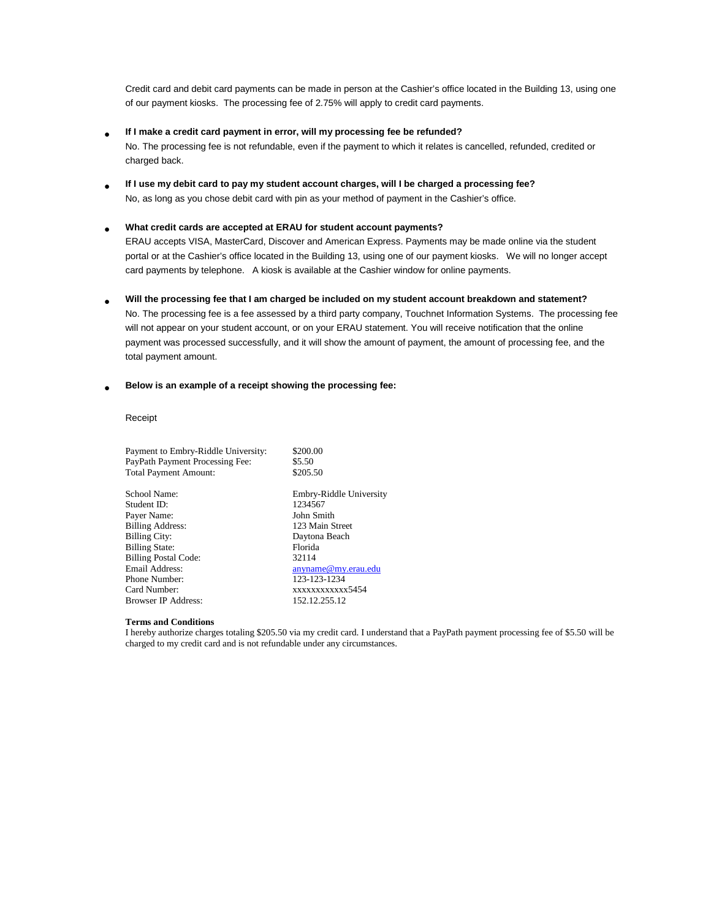Credit card and debit card payments can be made in person at the Cashier's office located in the Building 13, using one of our payment kiosks. The processing fee of 2.75% will apply to credit card payments.

• **If I make a credit card payment in error, will my processing fee be refunded?**

No. The processing fee is not refundable, even if the payment to which it relates is cancelled, refunded, credited or charged back.

• **If I use my debit card to pay my student account charges, will I be charged a processing fee?** No, as long as you chose debit card with pin as your method of payment in the Cashier's office.

## • **What credit cards are accepted at ERAU for student account payments?**

ERAU accepts VISA, MasterCard, Discover and American Express. Payments may be made online via the student portal or at the Cashier's office located in the Building 13, using one of our payment kiosks. We will no longer accept card payments by telephone. A kiosk is available at the Cashier window for online payments.

• **Will the processing fee that I am charged be included on my student account breakdown and statement?** No. The processing fee is a fee assessed by a third party company, Touchnet Information Systems. The processing fee will not appear on your student account, or on your ERAU statement. You will receive notification that the online payment was processed successfully, and it will show the amount of payment, the amount of processing fee, and the total payment amount.

### • **Below is an example of a receipt showing the processing fee:**

### Receipt

| Payment to Embry-Riddle University:<br>PayPath Payment Processing Fee:<br><b>Total Payment Amount:</b> | \$200.00<br>\$5.50<br>\$205.50 |
|--------------------------------------------------------------------------------------------------------|--------------------------------|
| School Name:                                                                                           | Embry-Riddle University        |
| Student ID:                                                                                            | 1234567                        |
| Payer Name:                                                                                            | John Smith                     |
| <b>Billing Address:</b>                                                                                | 123 Main Street                |
| <b>Billing City:</b>                                                                                   | Daytona Beach                  |
| <b>Billing State:</b>                                                                                  | Florida                        |
| <b>Billing Postal Code:</b>                                                                            | 32114                          |
| Email Address:                                                                                         | anyname@my.erau.edu            |
| Phone Number:                                                                                          | 123-123-1234                   |
| Card Number:                                                                                           | xxxxxxxxxxxx5454               |
| <b>Browser IP Address:</b>                                                                             | 152.12.255.12                  |
|                                                                                                        |                                |

### **Terms and Conditions**

I hereby authorize charges totaling \$205.50 via my credit card. I understand that a PayPath payment processing fee of \$5.50 will be charged to my credit card and is not refundable under any circumstances.